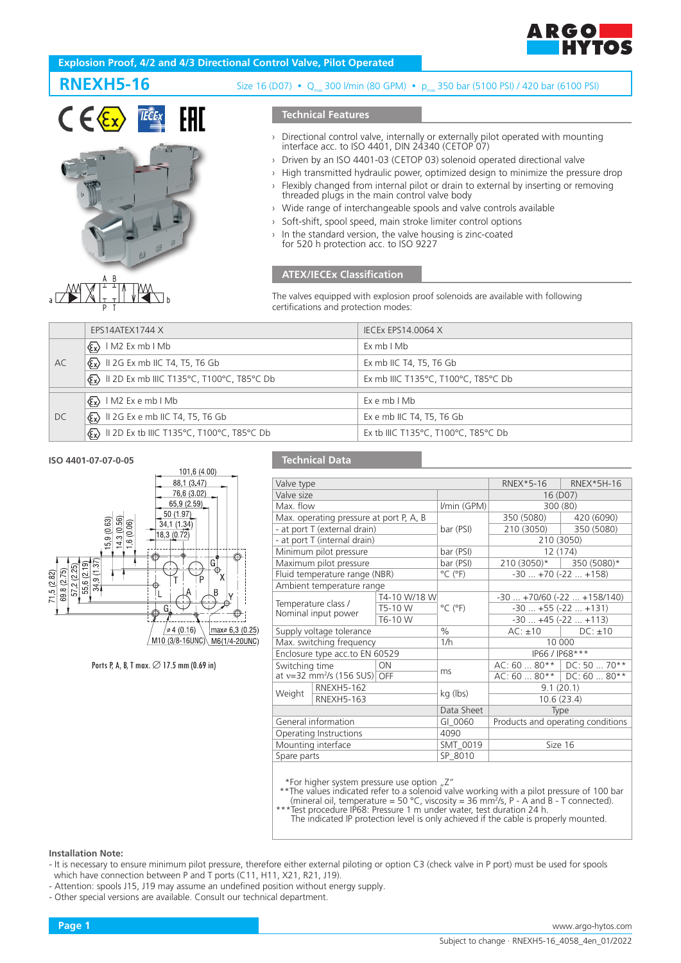

# **Explosion Proof, 4/2 and 4/3 Directional Control Valve, Pilot Operated**





# **RNEXH5-16** Size 16 (D07)  $\cdot$  Q<sub>max</sub> 300 l/min (80 GPM)  $\cdot$  p<sub>m</sub> 350 bar (5100 PSI) / 420 bar (6100 PSI)

# **Technical Features**

- › Directional control valve, internally or externally pilot operated with mounting interface acc. to ISO 4401, DIN 24340 (CETOP 07)
- › Driven by an ISO 4401-03 (CETOP 03) solenoid operated directional valve
- › High transmitted hydraulic power, optimized design to minimize the pressure drop › Flexibly changed from internal pilot or drain to external by inserting or removing threaded plugs in the main control valve body
- › Wide range of interchangeable spools and valve controls available
- Soft-shift, spool speed, main stroke limiter control options
- In the standard version, the valve housing is zinc-coated
- for 520 h protection acc. to ISO 9227

# **ATEX/IECEx Classification**

The valves equipped with explosion proof solenoids are available with following certifications and protection modes:

|           | EPS14ATEX1744 X                                                                             | <b>IECEX EPS14.0064 X</b>           |
|-----------|---------------------------------------------------------------------------------------------|-------------------------------------|
| AC        | $\langle \xi_{\mathbf{x}} \rangle$   M2 Ex mb   Mb                                          | ExmbIMb                             |
|           | $\langle \xi_{\mathbf{x}} \rangle$ II 2G Ex mb IIC T4, T5, T6 Gb                            | Ex mb IIC T4, T5, T6 Gb             |
|           | $\langle \mathbf{\mathcal{E}} \mathbf{x} \rangle$ II 2D Ex mb IIIC T135°C, T100°C, T85°C Db | Ex mb IIIC T135°C, T100°C, T85°C Db |
|           |                                                                                             |                                     |
| <b>DC</b> | $\langle \xi_{\mathbf{x}} \rangle$   M2 Ex e mb   Mb                                        | Ex e mb I Mb                        |
|           | $\langle \xi_{\mathbf{x}} \rangle$ II 2G Ex e mb IIC T4, T5, T6 Gb                          | Ex e mb IIC T4, T5, T6 Gb           |
|           | $\langle \mathbf{\mathcal{E}} \mathbf{x} \rangle$ II 2D Ex tb IIIC T135°C, T100°C, T85°C Db | Ex tb IIIC T135°C, T100°C, T85°C Db |

## **ISO 4401-07-07-0-05**



Ports P, A, B, T max.  $\varnothing$  17.5 mm (0.69 in)

# **Technical Data**

| Valve type                     |                                            |              |                              |                                   | RNEX*5-16   RNEX*5H-16 |
|--------------------------------|--------------------------------------------|--------------|------------------------------|-----------------------------------|------------------------|
| Valve size                     |                                            |              |                              | 16 (D07)                          |                        |
| Max. flow                      |                                            | I/min (GPM)  | 300 (80)                     |                                   |                        |
|                                | Max. operating pressure at port P, A, B    |              |                              | 350 (5080)                        | 420 (6090)             |
| - at port T (external drain)   |                                            | bar (PSI)    | 210 (3050)                   | 350 (5080)                        |                        |
| - at port T (internal drain)   |                                            |              |                              | 210 (3050)                        |                        |
| Minimum pilot pressure         |                                            | bar (PSI)    | 12 (174)                     |                                   |                        |
|                                | Maximum pilot pressure                     |              | bar (PSI)                    | 210 (3050)*   350 (5080)*         |                        |
|                                | Fluid temperature range (NBR)              |              | $^{\circ}$ C ( $^{\circ}$ F) | $-30+70(-22+158)$                 |                        |
| Ambient temperature range      |                                            |              |                              |                                   |                        |
|                                |                                            | T4-10 W/18 W |                              | $-30$ $+70/60$ $(-22$ $+158/140)$ |                        |
|                                | Temperature class /                        | T5-10 W      | $^{\circ}$ C ( $^{\circ}$ F) | $-30+55(-22+131)$                 |                        |
| Nominal input power<br>T6-10 W |                                            |              |                              | $-30+45(-22+113)$                 |                        |
| Supply voltage tolerance       |                                            | $\%$         | $AC: \pm 10$ DC: $\pm 10$    |                                   |                        |
| Max. switching frequency       |                                            | 1/h          | 10 000                       |                                   |                        |
| Enclosure type acc.to EN 60529 |                                            |              | IP66 / IP68***               |                                   |                        |
| <b>ON</b><br>Switching time    |                                            |              | ms                           | AC: 60  80**   DC: 50  70**       |                        |
|                                | at $v=32$ mm <sup>2</sup> /s (156 SUS) OFF |              |                              | $AC: 60 80**$ DC: 60  80**        |                        |
| Weight                         | <b>RNEXH5-162</b><br><b>RNEXH5-163</b>     |              | kg (lbs)                     | 9.1(20.1)                         |                        |
|                                |                                            |              |                              | 10.6(23.4)                        |                        |
|                                |                                            |              | Data Sheet                   | Type                              |                        |
|                                | General information                        |              | $GI_0060$                    | Products and operating conditions |                        |
| Operating Instructions<br>4090 |                                            |              |                              |                                   |                        |
| Mounting interface             |                                            | SMT_0019     | Size 16                      |                                   |                        |
| Spare parts                    |                                            | SP 8010      |                              |                                   |                        |
|                                |                                            |              |                              |                                   |                        |

\*For higher system pressure use option "Z"

\*\*The values indicated refer to a solenoid valve working with a pilot pressure of 100 bar (mineral oil, temperature = 50 °C, viscosity = 36 mm2 /s, P - A and B - T connected).

\*\*\*Test procedure IP68: Pressure 1 m under water, test duration 24 h. The indicated IP protection level is only achieved if the cable is properly mounted.

#### **Installation Note:**

- It is necessary to ensure minimum pilot pressure, therefore either external piloting or option C3 (check valve in P port) must be used for spools which have connection between P and T ports (C11, H11, X21, R21, J19).

- Attention: spools J15, J19 may assume an undefined position without energy supply.

- Other special versions are available. Consult our technical department.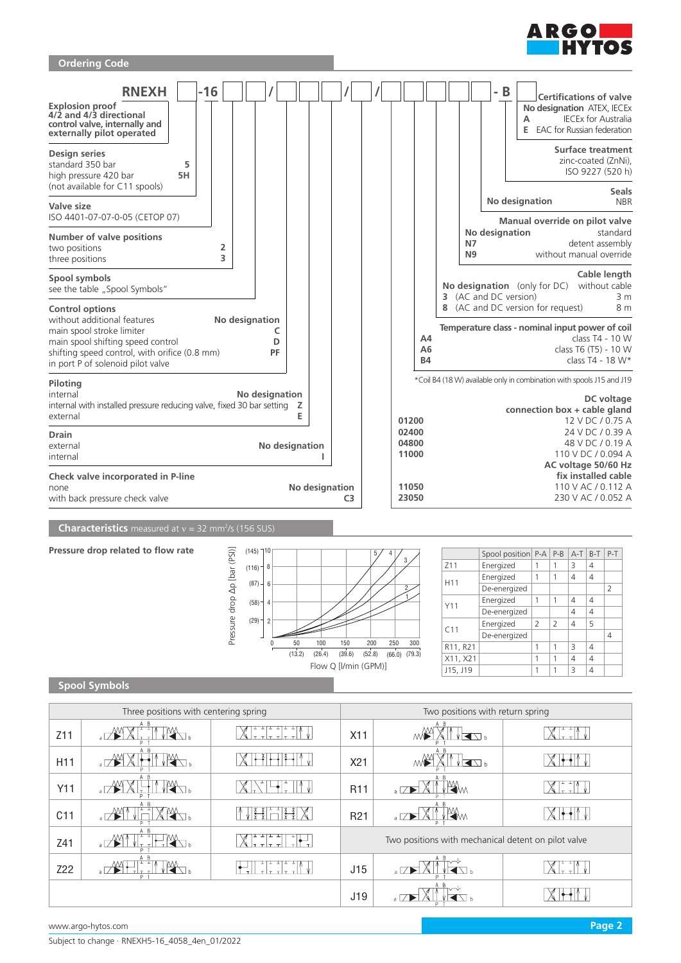



**Spool Symbols**

| Three positions with centering spring |                   |                                           | Two positions with return spring                    |                           |                                        |  |
|---------------------------------------|-------------------|-------------------------------------------|-----------------------------------------------------|---------------------------|----------------------------------------|--|
| Z <sub>11</sub>                       | A B               | $\tau$ =                                  | X11                                                 | A B<br>K<br>M₩            |                                        |  |
| H <sub>11</sub>                       | A B               |                                           | X21                                                 | ME<br>◀◹▵                 |                                        |  |
| Y11                                   | A B               |                                           | R <sub>11</sub>                                     | Щм<br>$\overline{\Delta}$ | $\mathbb{L} \left( \mathbb{L} \right)$ |  |
| C11                                   | A B<br>$\sqrt{1}$ |                                           | R <sub>21</sub>                                     | A B<br>M.<br>$\sqrt{ }$   |                                        |  |
| Z41                                   | A B               | $\overline{a}$<br>+ or t<br>$ \tau \tau $ | Two positions with mechanical detent on pilot valve |                           |                                        |  |
| Z22                                   | A B               |                                           | J15                                                 | a $\square$               |                                        |  |
|                                       |                   |                                           | J19                                                 | a                         |                                        |  |

150 (13.2) (26.4) (39.6) (52.8) (66.0) (79.3)

Flow Q [l/min (GPM)]

(29)

2

0 50 100

200 250 300

C11 Energized  $\begin{array}{|c|c|c|c|c|}\n\hline\n\text{2} & \text{2} & \text{4} & \text{5}\n\end{array}$ 

R11, R21 1 1 3 4  $X11, X21$  1 1 4 4  $J15, J19$  1 1 3 4

De-energized 4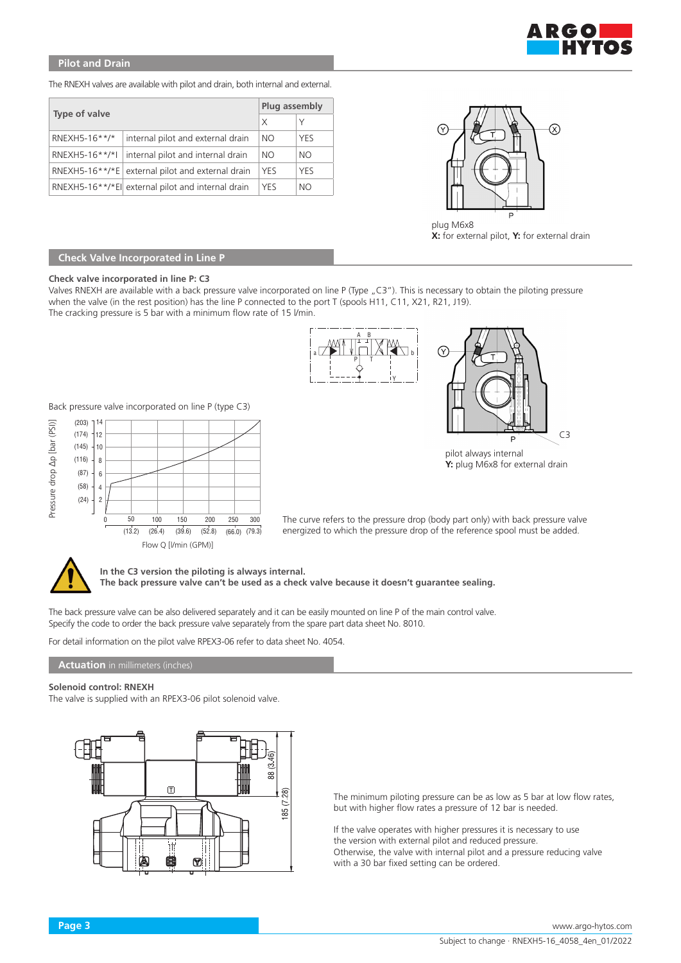

# **Pilot and Drain**

The RNEXH valves are available with pilot and drain, both internal and external.

|                |                                                    |            | Plug assembly |  |
|----------------|----------------------------------------------------|------------|---------------|--|
| Type of valve  |                                                    | X          | Υ             |  |
| RNEXH5-16**/*  | internal pilot and external drain                  | NO.        | YES           |  |
| RNEXH5-16**/*I | internal pilot and internal drain                  | NO.        | NO.           |  |
|                | RNEXH5-16**/*E external pilot and external drain   | <b>YES</b> | <b>YES</b>    |  |
|                | RNEXH5-16**/*El  external pilot and internal drain | <b>YES</b> | NO.           |  |



plug M6x8 **X:** for external pilot, **Y:** for external drain

# **Check Valve Incorporated in Line P**

### **Check valve incorporated in line P: C3**

Valves RNEXH are available with a back pressure valve incorporated on line P (Type "C3"). This is necessary to obtain the piloting pressure when the valve (in the rest position) has the line P connected to the port T (spools H11, C11, X21, R21, J19). The cracking pressure is 5 bar with a minimum flow rate of 15 l/min.



Back pressure valve incorporated on line P (type C3)





pilot always internal **Y:** plug M6x8 for external drain

The curve refers to the pressure drop (body part only) with back pressure valve energized to which the pressure drop of the reference spool must be added.



**In the C3 version the piloting is always internal.**

**The back pressure valve can't be used as a check valve because it doesn't guarantee sealing.**

The back pressure valve can be also delivered separately and it can be easily mounted on line P of the main control valve. Specify the code to order the back pressure valve separately from the spare part data sheet No. 8010.

For detail information on the pilot valve RPEX3-06 refer to data sheet No. 4054.

## **Actuation** in millimeters (inches)

### **Solenoid control: RNEXH**

The valve is supplied with an RPEX3-06 pilot solenoid valve.



The minimum piloting pressure can be as low as 5 bar at low flow rates, but with higher flow rates a pressure of 12 bar is needed.

If the valve operates with higher pressures it is necessary to use the version with external pilot and reduced pressure. Otherwise, the valve with internal pilot and a pressure reducing valve with a 30 bar fixed setting can be ordered.